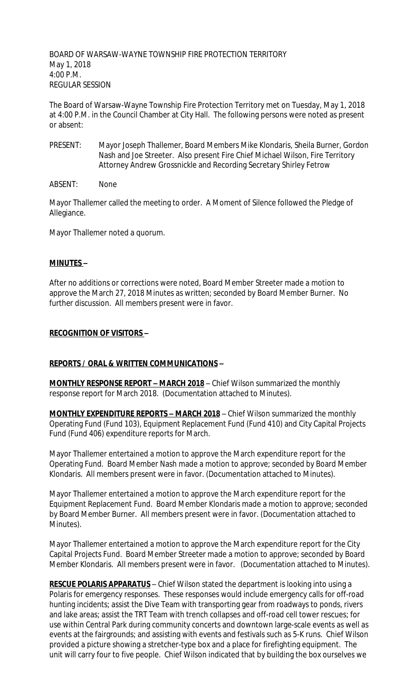BOARD OF WARSAW-WAYNE TOWNSHIP FIRE PROTECTION TERRITORY May 1, 2018 4:00 P.M. REGULAR SESSION

The Board of Warsaw-Wayne Township Fire Protection Territory met on Tuesday, May 1, 2018 at 4:00 P.M. in the Council Chamber at City Hall. The following persons were noted as present or absent:

- PRESENT: Mayor Joseph Thallemer, Board Members Mike Klondaris, Sheila Burner, Gordon Nash and Joe Streeter. Also present Fire Chief Michael Wilson, Fire Territory Attorney Andrew Grossnickle and Recording Secretary Shirley Fetrow
- ABSENT: None

Mayor Thallemer called the meeting to order. A Moment of Silence followed the Pledge of Allegiance.

Mayor Thallemer noted a quorum.

#### **MINUTES –**

After no additions or corrections were noted, Board Member Streeter made a motion to approve the March 27, 2018 Minutes as written; seconded by Board Member Burner. No further discussion. All members present were in favor.

#### **RECOGNITION OF VISITORS –**

#### **REPORTS / ORAL & WRITTEN COMMUNICATIONS –**

**MONTHLY RESPONSE REPORT – MARCH 2018** – Chief Wilson summarized the monthly response report for March 2018. (Documentation attached to Minutes).

**MONTHLY EXPENDITURE REPORTS – MARCH 2018** – Chief Wilson summarized the monthly Operating Fund (Fund 103), Equipment Replacement Fund (Fund 410) and City Capital Projects Fund (Fund 406) expenditure reports for March.

Mayor Thallemer entertained a motion to approve the March expenditure report for the Operating Fund. Board Member Nash made a motion to approve; seconded by Board Member Klondaris. All members present were in favor. (Documentation attached to Minutes).

Mayor Thallemer entertained a motion to approve the March expenditure report for the Equipment Replacement Fund. Board Member Klondaris made a motion to approve; seconded by Board Member Burner. All members present were in favor. (Documentation attached to Minutes).

Mayor Thallemer entertained a motion to approve the March expenditure report for the City Capital Projects Fund. Board Member Streeter made a motion to approve; seconded by Board Member Klondaris. All members present were in favor. (Documentation attached to Minutes).

**RESCUE POLARIS APPARATUS** – Chief Wilson stated the department is looking into using a Polaris for emergency responses. These responses would include emergency calls for off-road hunting incidents; assist the Dive Team with transporting gear from roadways to ponds, rivers and lake areas; assist the TRT Team with trench collapses and off-road cell tower rescues; for use within Central Park during community concerts and downtown large-scale events as well as events at the fairgrounds; and assisting with events and festivals such as 5-K runs. Chief Wilson provided a picture showing a stretcher-type box and a place for firefighting equipment. The unit will carry four to five people. Chief Wilson indicated that by building the box ourselves we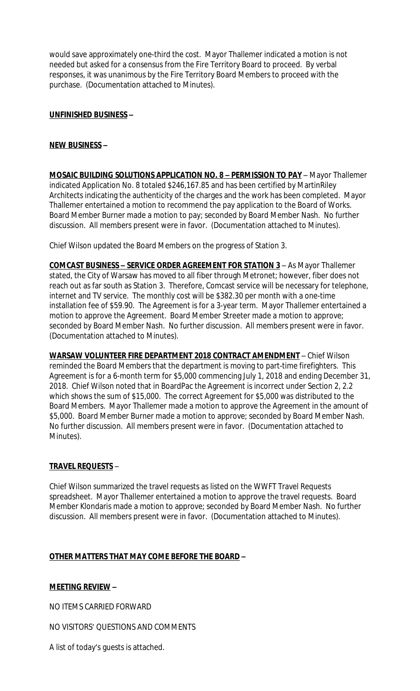would save approximately one-third the cost. Mayor Thallemer indicated a motion is not needed but asked for a consensus from the Fire Territory Board to proceed. By verbal responses, it was unanimous by the Fire Territory Board Members to proceed with the purchase. (Documentation attached to Minutes).

## **UNFINISHED BUSINESS –**

## **NEW BUSINESS –**

**MOSAIC BUILDING SOLUTIONS APPLICATION NO. 8 – PERMISSION TO PAY** – Mayor Thallemer indicated Application No. 8 totaled \$246,167.85 and has been certified by MartinRiley Architects indicating the authenticity of the charges and the work has been completed. Mayor Thallemer entertained a motion to recommend the pay application to the Board of Works. Board Member Burner made a motion to pay; seconded by Board Member Nash. No further discussion. All members present were in favor. (Documentation attached to Minutes).

Chief Wilson updated the Board Members on the progress of Station 3.

**COMCAST BUSINESS – SERVICE ORDER AGREEMENT FOR STATION 3** – As Mayor Thallemer stated, the City of Warsaw has moved to all fiber through Metronet; however, fiber does not reach out as far south as Station 3. Therefore, Comcast service will be necessary for telephone, internet and TV service. The monthly cost will be \$382.30 per month with a one-time installation fee of \$59.90. The Agreement is for a 3-year term. Mayor Thallemer entertained a motion to approve the Agreement. Board Member Streeter made a motion to approve; seconded by Board Member Nash. No further discussion. All members present were in favor. (Documentation attached to Minutes).

**WARSAW VOLUNTEER FIRE DEPARTMENT 2018 CONTRACT AMENDMENT** – Chief Wilson reminded the Board Members that the department is moving to part-time firefighters. This Agreement is for a 6-month term for \$5,000 commencing July 1, 2018 and ending December 31, 2018. Chief Wilson noted that in BoardPac the Agreement is incorrect under Section 2, 2.2 which shows the sum of \$15,000. The correct Agreement for \$5,000 was distributed to the Board Members. Mayor Thallemer made a motion to approve the Agreement in the amount of \$5,000. Board Member Burner made a motion to approve; seconded by Board Member Nash. No further discussion. All members present were in favor. (Documentation attached to Minutes).

#### **TRAVEL REQUESTS** –

Chief Wilson summarized the travel requests as listed on the WWFT Travel Requests spreadsheet. Mayor Thallemer entertained a motion to approve the travel requests. Board Member Klondaris made a motion to approve; seconded by Board Member Nash. No further discussion. All members present were in favor. (Documentation attached to Minutes).

#### **OTHER MATTERS THAT MAY COME BEFORE THE BOARD –**

#### **MEETING REVIEW –**

NO ITEMS CARRIED FORWARD

NO VISITORS' QUESTIONS AND COMMENTS

A list of today's guests is attached.